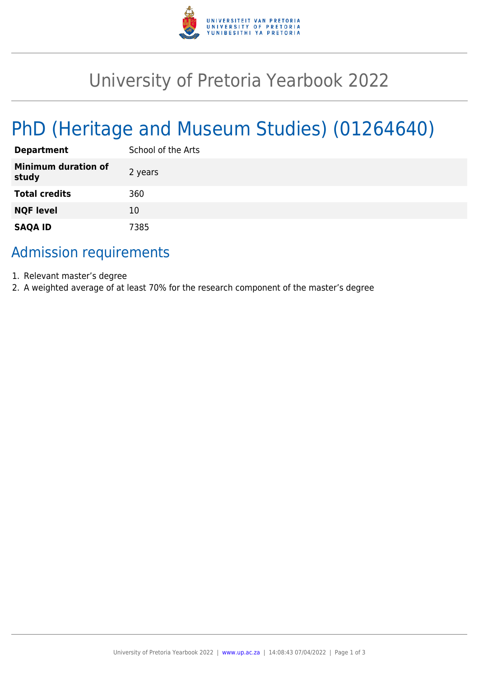

## University of Pretoria Yearbook 2022

# PhD (Heritage and Museum Studies) (01264640)

| <b>Department</b>                   | School of the Arts |
|-------------------------------------|--------------------|
| <b>Minimum duration of</b><br>study | 2 years            |
| <b>Total credits</b>                | 360                |
| <b>NQF level</b>                    | 10                 |
| <b>SAQA ID</b>                      | 7385               |

#### Admission requirements

- 1. Relevant master's degree
- 2. A weighted average of at least 70% for the research component of the master's degree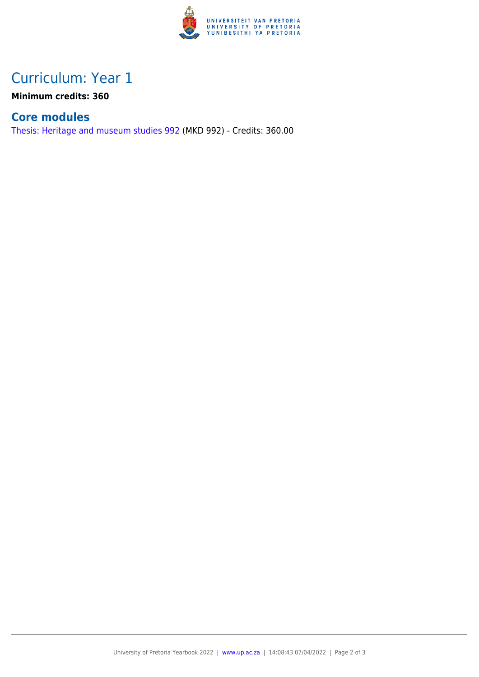

## Curriculum: Year 1

**Minimum credits: 360**

#### **Core modules**

[Thesis: Heritage and museum studies 992](https://www.up.ac.za/yearbooks/2022/modules/view/MKD 992) (MKD 992) - Credits: 360.00